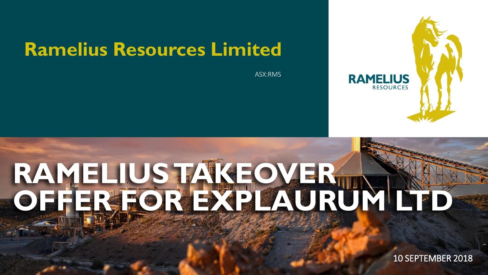# **Ramelius Resources Limited**

ASX:RMS



# **RAMELIUS TAKEOVER OFFER FOR EXPLAURUM LTD**

EXPLAND TAKE 10 SEPTEMBER 2018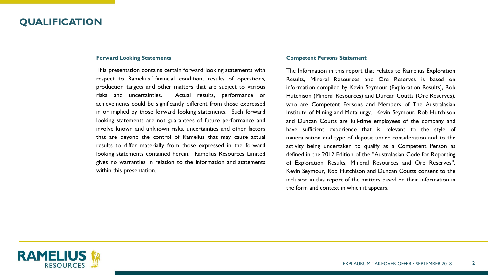#### **Forward Looking Statements**

This presentation contains certain forward looking statements with respect to Ramelius' financial condition, results of operations, production targets and other matters that are subject to various risks and uncertainties. Actual results, performance or achievements could be significantly different from those expressed in or implied by those forward looking statements. Such forward looking statements are not guarantees of future performance and involve known and unknown risks, uncertainties and other factors that are beyond the control of Ramelius that may cause actual results to differ materially from those expressed in the forward looking statements contained herein. Ramelius Resources Limited gives no warranties in relation to the information and statements within this presentation.

#### **Competent Persons Statement**

The Information in this report that relates to Ramelius Exploration Results, Mineral Resources and Ore Reserves is based on information compiled by Kevin Seymour (Exploration Results), Rob Hutchison (Mineral Resources) and Duncan Coutts (Ore Reserves), who are Competent Persons and Members of The Australasian Institute of Mining and Metallurgy. Kevin Seymour, Rob Hutchison and Duncan Coutts are full-time employees of the company and have sufficient experience that is relevant to the style of mineralisation and type of deposit under consideration and to the activity being undertaken to qualify as a Competent Person as defined in the 2012 Edition of the "Australasian Code for Reporting of Exploration Results, Mineral Resources and Ore Reserves". Kevin Seymour, Rob Hutchison and Duncan Coutts consent to the inclusion in this report of the matters based on their information in the form and context in which it appears.

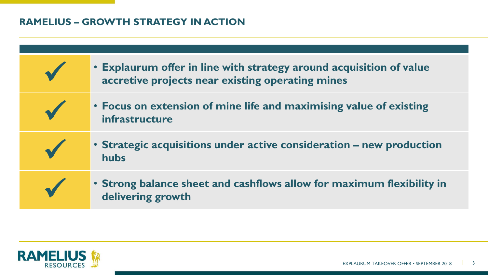## **RAMELIUS – GROWTH STRATEGY IN ACTION**

| • Explaurum offer in line with strategy around acquisition of value<br>accretive projects near existing operating mines |
|-------------------------------------------------------------------------------------------------------------------------|
| • Focus on extension of mine life and maximising value of existing<br>infrastructure                                    |
| • Strategic acquisitions under active consideration – new production<br>hubs                                            |
| • Strong balance sheet and cashflows allow for maximum flexibility in<br>delivering growth                              |

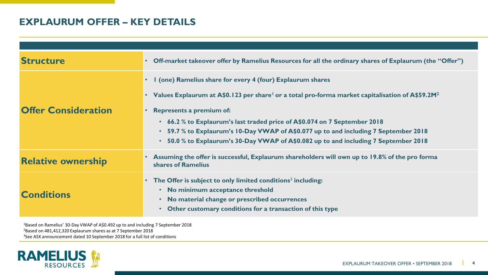## **EXPLAURUM OFFER – KEY DETAILS**

| <b>Structure</b>           | Off-market takeover offer by Ramelius Resources for all the ordinary shares of Explaurum (the "Offer")                                                                                                                                                                                                                                                                                                                                                                          |
|----------------------------|---------------------------------------------------------------------------------------------------------------------------------------------------------------------------------------------------------------------------------------------------------------------------------------------------------------------------------------------------------------------------------------------------------------------------------------------------------------------------------|
| <b>Offer Consideration</b> | I (one) Ramelius share for every 4 (four) Explaurum shares<br>Values Explaurum at A\$0.123 per share <sup>1</sup> or a total pro-forma market capitalisation of A\$59.2M <sup>2</sup><br><b>Represents a premium of:</b><br>66.2 % to Explaurum's last traded price of A\$0.074 on 7 September 2018<br>59.7 % to Explaurum's 10-Day VWAP of A\$0.077 up to and including 7 September 2018<br>50.0 % to Explaurum's 30-Day VWAP of A\$0.082 up to and including 7 September 2018 |
| <b>Relative ownership</b>  | Assuming the offer is successful, Explaurum shareholders will own up to 19.8% of the pro forma<br>shares of Ramelius                                                                                                                                                                                                                                                                                                                                                            |
| <b>Conditions</b>          | The Offer is subject to only limited conditions <sup>3</sup> including:<br>No minimum acceptance threshold<br>No material change or prescribed occurrences<br>Other customary conditions for a transaction of this type                                                                                                                                                                                                                                                         |

<sup>1</sup>Based on Ramelius' 30-Day VWAP of A\$0.492 up to and including 7 September 2018

<sup>2</sup>Based on 481,412,320 Explaurum shares as at 7 September 2018

<sup>3</sup>See ASX announcement dated 10 September 2018 for a full list of conditions

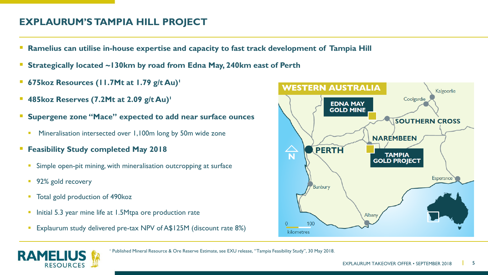## **EXPLAURUM'S TAMPIA HILL PROJECT**

- **Ramelius can utilise in-house expertise and capacity to fast track development of Tampia Hill**
- **Strategically located ~130km by road from Edna May, 240km east of Perth**
- **675koz Resources (11.7Mt at 1.79 g/t Au)¹**
- **485koz Reserves (7.2Mt at 2.09 g/t Au)**
- **Supergene zone "Mace" expected to add near surface ounces** 
	- Mineralisation intersected over 1,100m long by 50m wide zone
- **Feasibility Study completed May 2018** 
	- **EXTERGHT SIMPLE OPEN-PIT MINING.** With mineralisation outcropping at surface
	- 92% gold recovery
	- Total gold production of 490koz
	- **·** Initial 5.3 year mine life at 1.5Mtpa ore production rate
	- **Explaurum study delivered pre-tax NPV of A\$125M (discount rate 8%)**





<sup>1</sup> Published Mineral Resource & Ore Reserve Estimate, see EXU release, "Tampia Feasibility Study", 30 May 2018.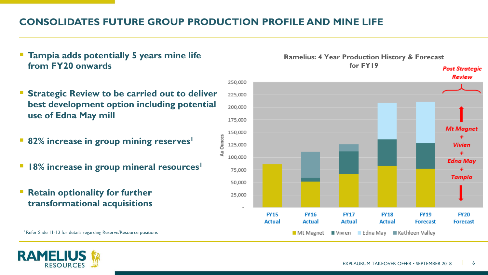## **CONSOLIDATES FUTURE GROUP PRODUCTION PROFILE AND MINE LIFE**

250,000

150,000

125,000 100.000

75,000

50,000 25,000

Au Ounces

- **Tampia adds potentially 5 years mine life from FY20 onwards**
- **Strategic Review to be carried out to deliver** 225,000 **best development option including potential**  200.000 **use of Edna May mill** 175,000
- **82% increase in group mining reserves<sup>1</sup>**
- 18% increase in group mineral resources<sup>1</sup>
- **Retain optionality for further transformational acquisitions**

<sup>1</sup> Refer Slide 11-12 for details regarding Reserve/Resource positions

RAMEL



**Ramelius: 4 Year Production History & Forecast for FY19**

Mt Magnet Vivien Edna May Kathleen Valley

**Post Strategic Review**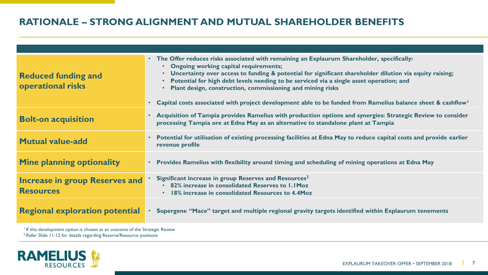#### **RATIONALE – STRONG ALIGNMENT AND MUTUAL SHAREHOLDER BENEFITS**

| <b>Reduced funding and</b><br>operational risks           | The Offer reduces risks associated with remaining an Explaurum Shareholder, specifically:<br>$\bullet$<br>• Ongoing working capital requirements;<br>• Uncertainty over access to funding & potential for significant shareholder dilution via equity raising;<br>Potential for high debt levels needing to be serviced via a single asset operation; and<br>Plant design, construction, commissioning and mining risks<br>Capital costs associated with project development able to be funded from Ramelius balance sheet & cashflow |
|-----------------------------------------------------------|---------------------------------------------------------------------------------------------------------------------------------------------------------------------------------------------------------------------------------------------------------------------------------------------------------------------------------------------------------------------------------------------------------------------------------------------------------------------------------------------------------------------------------------|
| <b>Bolt-on acquisition</b>                                | Acquisition of Tampia provides Ramelius with production options and synergies: Strategic Review to consider<br>processing Tampia ore at Edna May as an alternative to standalone plant at Tampia                                                                                                                                                                                                                                                                                                                                      |
| <b>Mutual value-add</b>                                   | Potential for utilisation of existing processing facilities at Edna May to reduce capital costs and provide earlier<br>revenue profile                                                                                                                                                                                                                                                                                                                                                                                                |
| <b>Mine planning optionality</b>                          | Provides Ramelius with flexibility around timing and scheduling of mining operations at Edna May                                                                                                                                                                                                                                                                                                                                                                                                                                      |
| <b>Increase in group Reserves and</b><br><b>Resources</b> | Significant increase in group Reserves and Resources <sup>2</sup><br>82% increase in consolidated Reserves to 1.1 Moz<br>18% increase in consolidated Resources to 4.4Moz                                                                                                                                                                                                                                                                                                                                                             |
| <b>Regional exploration potential</b>                     | Supergene "Mace" target and multiple regional gravity targets identified within Explaurum tenements                                                                                                                                                                                                                                                                                                                                                                                                                                   |

<sup>1</sup> If this development option is chosen as an outcome of the Strategic Review

<sup>2</sup> Refer Slide 11-12 for details regarding Reserve/Resource positions

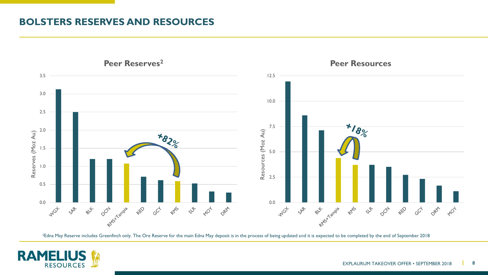#### **BOLSTERS RESERVES AND RESOURCES**



<sup>2</sup>Edna May Reserve includes Greenfinch only. The Ore Reserve for the main Edna May deposit is in the process of being updated and it is expected to be completed by the end of September 2018

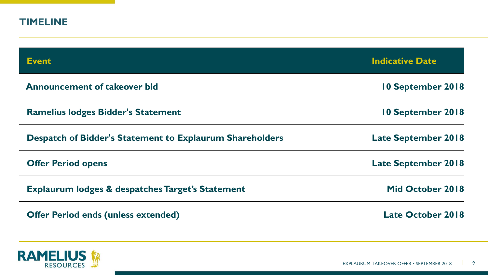| <b>TIMELINE</b>                                                 |                            |
|-----------------------------------------------------------------|----------------------------|
| <b>Event</b>                                                    | <b>Indicative Date</b>     |
| <b>Announcement of takeover bid</b>                             | 10 September 2018          |
| <b>Ramelius lodges Bidder's Statement</b>                       | 10 September 2018          |
| <b>Despatch of Bidder's Statement to Explaurum Shareholders</b> | <b>Late September 2018</b> |
| <b>Offer Period opens</b>                                       | <b>Late September 2018</b> |
| <b>Explaurum lodges &amp; despatches Target's Statement</b>     | Mid October 2018           |
| <b>Offer Period ends (unless extended)</b>                      | <b>Late October 2018</b>   |

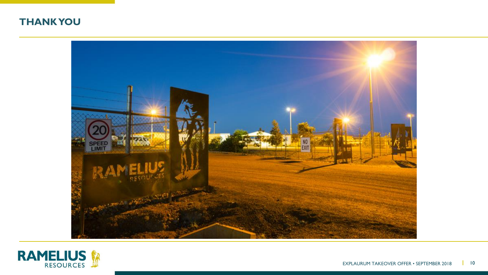



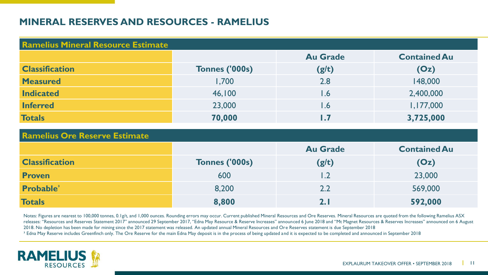#### **MINERAL RESERVES AND RESOURCES - RAMELIUS**

| <b>Ramelius Mineral Resource Estimate</b> |                       |                         |                     |
|-------------------------------------------|-----------------------|-------------------------|---------------------|
|                                           |                       | <b>Au Grade</b>         | <b>Contained Au</b> |
| <b>Classification</b>                     | <b>Tonnes ('000s)</b> | (g/t)                   | (Oz)                |
| <b>Measured</b>                           | 1,700                 | 2.8                     | 148,000             |
| <b>Indicated</b>                          | 46,100                | 1.6                     | 2,400,000           |
| <b>Inferred</b>                           | 23,000                | 1.6                     | 1,177,000           |
| <b>Totals</b>                             | 70,000                | $\mathsf{I}.\mathsf{Z}$ | 3,725,000           |

| <b>Ramelius Ore Reserve Estimate</b> |                |                 |                     |
|--------------------------------------|----------------|-----------------|---------------------|
|                                      |                | <b>Au Grade</b> | <b>Contained Au</b> |
| <b>Classification</b>                | Tonnes ('000s) | (g/t)           | (Oz)                |
| <b>Proven</b>                        | 600            | 1.2             | 23,000              |
| Probable <sup>3</sup>                | 8,200          | 2.2             | 569,000             |
| <b>Totals</b>                        | 8,800          |                 | 592,000             |

Notes: Figures are nearest to 100,000 tonnes, 0.1g/t, and 1,000 ounces. Rounding errors may occur. Current published Mineral Resources and Ore Reserves. Mineral Resources are quoted from the following Ramelius ASX releases: "Resources and Reserves Statement 2017" announced 29 September 2017, "Edna May Resource & Reserve Increases" announced 6 June 2018 and "Mt Magnet Resources & Reserves Increases" announced on 6 August 2018. No depletion has been made for mining since the 2017 statement was released. An updated annual Mineral Resources and Ore Reserves statement is due September 2018 <sup>3</sup> Edna May Reserve includes Greenfinch only. The Ore Reserve for the main Edna May deposit is in the process of being updated and it is expected to be completed and announced in September 2018

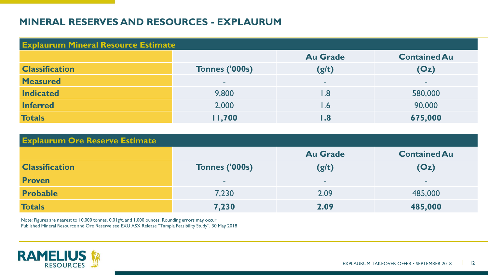#### **MINERAL RESERVES AND RESOURCES - EXPLAURUM**

| <b>Explaurum Mineral Resource Estimate</b> |                       |                 |                     |
|--------------------------------------------|-----------------------|-----------------|---------------------|
|                                            |                       | <b>Au Grade</b> | <b>Contained Au</b> |
| <b>Classification</b>                      | <b>Tonnes ('000s)</b> | (g/t)           | (Oz)                |
| <b>Measured</b>                            | ۰                     | $\sim$          |                     |
| <b>Indicated</b>                           | 9,800                 | l.8             | 580,000             |
| <b>Inferred</b>                            | 2,000                 | l .6            | 90,000              |
| <b>Totals</b>                              | 11,700                | l .8            | 675,000             |

| <b>Explaurum Ore Reserve Estimate</b> |                |                 |                     |
|---------------------------------------|----------------|-----------------|---------------------|
|                                       |                | <b>Au Grade</b> | <b>Contained Au</b> |
| <b>Classification</b>                 | Tonnes ('000s) | (g/t)           | (Oz)                |
| <b>Proven</b>                         | <b>COL</b>     |                 | ۰                   |
| <b>Probable</b>                       | 7,230          | 2.09            | 485,000             |
| <b>Totals</b>                         | 7,230          | 2.09            | 485,000             |

Note: Figures are nearest to 10,000 tonnes, 0.01g/t, and 1,000 ounces. Rounding errors may occur Published Mineral Resource and Ore Reserve see EXU ASX Release "Tampia Feasibility Study", 30 May 2018